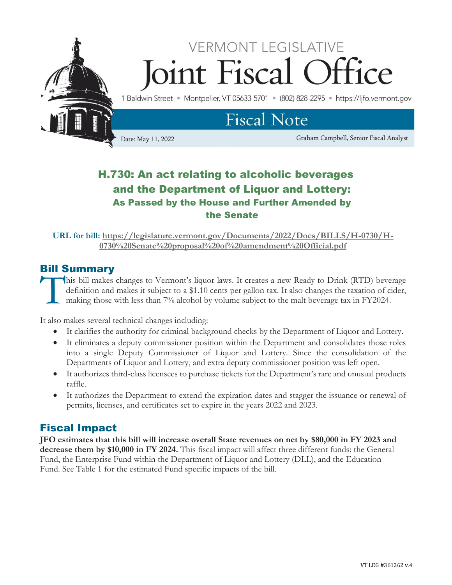

## H.730: An act relating to alcoholic beverages and the Department of Liquor and Lottery: As Passed by the House and Further Amended by the Senate

**URL for bill: [https://legislature.vermont.gov/Documents/2022/Docs/BILLS/H-0730/H-](https://legislature.vermont.gov/Documents/2022/Docs/BILLS/H-0730/H-0730%20Senate%20proposal%20of%20amendment%20Official.pdf)[0730%20Senate%20proposal%20of%20amendment%20Official.pdf](https://legislature.vermont.gov/Documents/2022/Docs/BILLS/H-0730/H-0730%20Senate%20proposal%20of%20amendment%20Official.pdf)**

## Bill Summary

his bill makes changes to Vermont's liquor laws. It creates a new Ready to Drink (RTD) beverage definition and makes it subject to a \$1.10 cents per gallon tax. It also changes the taxation of cider, making those with less than 7% alcohol by volume subject to the malt beverage tax in FY2024. T<sup>"</sup>

It also makes several technical changes including:

- It clarifies the authority for criminal background checks by the Department of Liquor and Lottery.
- It eliminates a deputy commissioner position within the Department and consolidates those roles into a single Deputy Commissioner of Liquor and Lottery. Since the consolidation of the Departments of Liquor and Lottery, and extra deputy commissioner position was left open.
- It authorizes third-class licensees to purchase tickets for the Department's rare and unusual products raffle.
- It authorizes the Department to extend the expiration dates and stagger the issuance or renewal of permits, licenses, and certificates set to expire in the years 2022 and 2023.

### Fiscal Impact

**JFO estimates that this bill will increase overall State revenues on net by \$80,000 in FY 2023 and decrease them by \$10,000 in FY 2024.** This fiscal impact will affect three different funds: the General Fund, the Enterprise Fund within the Department of Liquor and Lottery (DLL), and the Education Fund. See Table 1 for the estimated Fund specific impacts of the bill.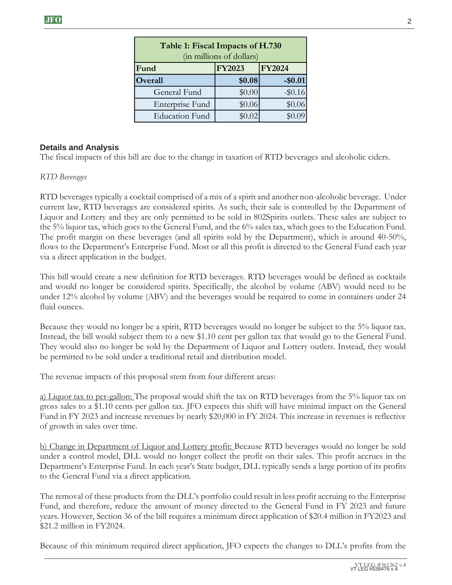| Table 1: Fiscal Impacts of H.730<br>(in millions of dollars) |               |               |
|--------------------------------------------------------------|---------------|---------------|
| Fund                                                         | <b>FY2023</b> | <b>FY2024</b> |
| Overall                                                      | \$0.08        | $-$0.01$      |
| General Fund                                                 | \$0.00        | $-$ \$0.16    |
| Enterprise Fund                                              | \$0.06        | \$0.06        |
| <b>Education Fund</b>                                        | \$0.02        |               |

#### **Details and Analysis**

The fiscal impacts of this bill are due to the change in taxation of RTD beverages and alcoholic ciders.

#### *RTD Beverages*

RTD beverages typically a cocktail comprised of a mix of a spirit and another non-alcoholic beverage. Under current law, RTD beverages are considered spirits. As such, their sale is controlled by the Department of Liquor and Lottery and they are only permitted to be sold in 802Spirits outlets. These sales are subject to the 5% liquor tax, which goes to the General Fund, and the 6% sales tax, which goes to the Education Fund. The profit margin on these beverages (and all spirits sold by the Department), which is around 40-50%, flows to the Department's Enterprise Fund. Most or all this profit is directed to the General Fund each year via a direct application in the budget.

This bill would create a new definition for RTD beverages. RTD beverages would be defined as cocktails and would no longer be considered spirits. Specifically, the alcohol by volume (ABV) would need to be under 12% alcohol by volume (ABV) and the beverages would be required to come in containers under 24 fluid ounces.

Because they would no longer be a spirit, RTD beverages would no longer be subject to the 5% liquor tax. Instead, the bill would subject them to a new \$1.10 cent per gallon tax that would go to the General Fund. They would also no longer be sold by the Department of Liquor and Lottery outlets. Instead, they would be permitted to be sold under a traditional retail and distribution model.

The revenue impacts of this proposal stem from four different areas:

a) Liquor tax to per-gallon: The proposal would shift the tax on RTD beverages from the 5% liquor tax on gross sales to a \$1.10 cents per gallon tax. JFO expects this shift will have minimal impact on the General Fund in FY 2023 and increase revenues by nearly \$20,000 in FY 2024. This increase in revenues is reflective of growth in sales over time.

b) Change in Department of Liquor and Lottery profit: Because RTD beverages would no longer be sold under a control model, DLL would no longer collect the profit on their sales. This profit accrues in the Department's Enterprise Fund. In each year's State budget, DLL typically sends a large portion of its profits to the General Fund via a direct application.

The removal of these products from the DLL's portfolio could result in less profit accruing to the Enterprise Fund, and therefore, reduce the amount of money directed to the General Fund in FY 2023 and future years. However, Section 36 of the bill requires a minimum direct application of \$20.4 million in FY2023 and \$21.2 million in FY2024.

Because of this minimum required direct application, JFO expects the changes to DLL's profits from the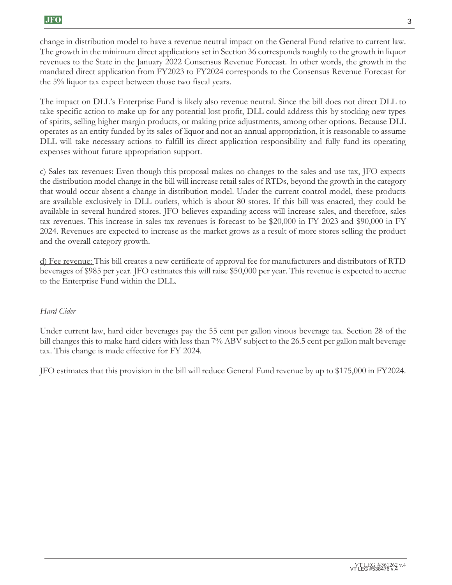change in distribution model to have a revenue neutral impact on the General Fund relative to current law. The growth in the minimum direct applications set in Section 36 corresponds roughly to the growth in liquor revenues to the State in the January 2022 Consensus Revenue Forecast. In other words, the growth in the mandated direct application from FY2023 to FY2024 corresponds to the Consensus Revenue Forecast for the 5% liquor tax expect between those two fiscal years.

The impact on DLL's Enterprise Fund is likely also revenue neutral. Since the bill does not direct DLL to take specific action to make up for any potential lost profit, DLL could address this by stocking new types of spirits, selling higher margin products, or making price adjustments, among other options. Because DLL operates as an entity funded by its sales of liquor and not an annual appropriation, it is reasonable to assume DLL will take necessary actions to fulfill its direct application responsibility and fully fund its operating expenses without future appropriation support.

c) Sales tax revenues: Even though this proposal makes no changes to the sales and use tax, JFO expects the distribution model change in the bill will increase retail sales of RTDs, beyond the growth in the category that would occur absent a change in distribution model. Under the current control model, these products are available exclusively in DLL outlets, which is about 80 stores. If this bill was enacted, they could be available in several hundred stores. JFO believes expanding access will increase sales, and therefore, sales tax revenues. This increase in sales tax revenues is forecast to be \$20,000 in FY 2023 and \$90,000 in FY 2024. Revenues are expected to increase as the market grows as a result of more stores selling the product and the overall category growth.

d) Fee revenue: This bill creates a new certificate of approval fee for manufacturers and distributors of RTD beverages of \$985 per year. JFO estimates this will raise \$50,000 per year. This revenue is expected to accrue to the Enterprise Fund within the DLL.

#### *Hard Cider*

Under current law, hard cider beverages pay the 55 cent per gallon vinous beverage tax. Section 28 of the bill changes this to make hard ciders with less than 7% ABV subject to the 26.5 cent per gallon malt beverage tax. This change is made effective for FY 2024.

JFO estimates that this provision in the bill will reduce General Fund revenue by up to \$175,000 in FY2024.